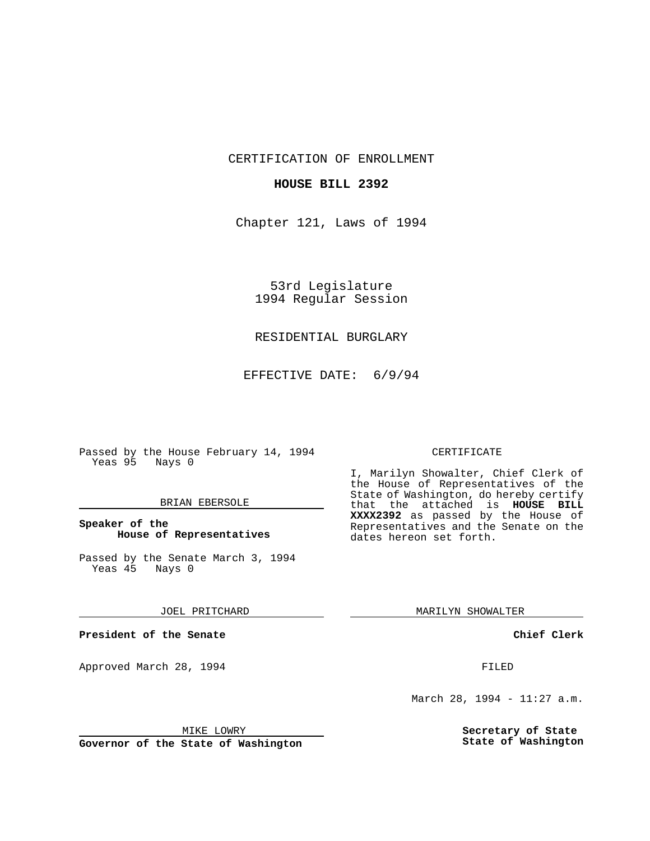CERTIFICATION OF ENROLLMENT

### **HOUSE BILL 2392**

Chapter 121, Laws of 1994

53rd Legislature 1994 Regular Session

# RESIDENTIAL BURGLARY

EFFECTIVE DATE: 6/9/94

Passed by the House February 14, 1994 Yeas 95 Nays 0

### BRIAN EBERSOLE

## **Speaker of the House of Representatives**

Passed by the Senate March 3, 1994 Yeas 45 Nays 0

#### JOEL PRITCHARD

**President of the Senate**

Approved March 28, 1994 **FILED** 

## CERTIFICATE

I, Marilyn Showalter, Chief Clerk of the House of Representatives of the State of Washington, do hereby certify that the attached is **HOUSE BILL XXXX2392** as passed by the House of Representatives and the Senate on the dates hereon set forth.

MARILYN SHOWALTER

**Chief Clerk**

March 28, 1994 - 11:27 a.m.

**Secretary of State State of Washington**

MIKE LOWRY

**Governor of the State of Washington**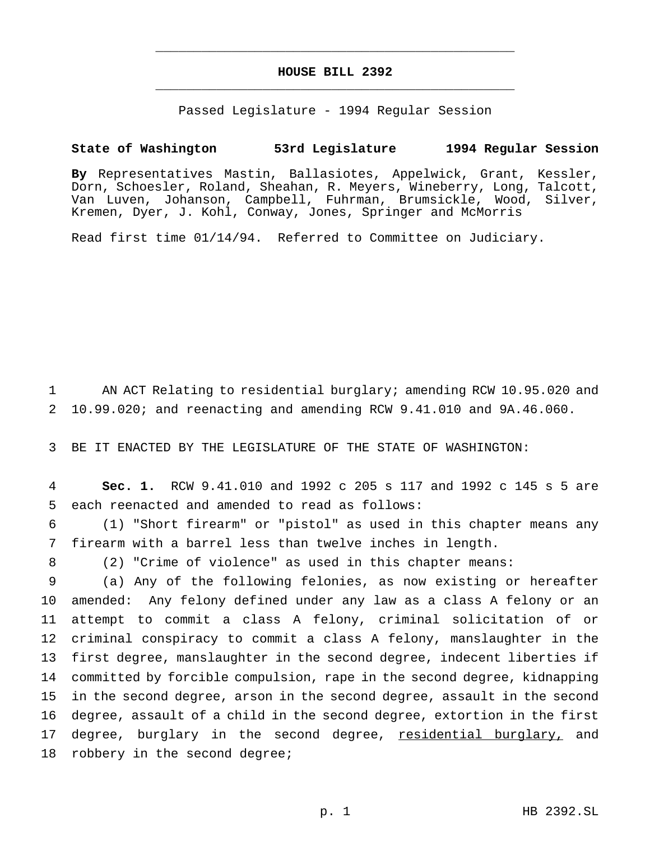# **HOUSE BILL 2392** \_\_\_\_\_\_\_\_\_\_\_\_\_\_\_\_\_\_\_\_\_\_\_\_\_\_\_\_\_\_\_\_\_\_\_\_\_\_\_\_\_\_\_\_\_\_\_

\_\_\_\_\_\_\_\_\_\_\_\_\_\_\_\_\_\_\_\_\_\_\_\_\_\_\_\_\_\_\_\_\_\_\_\_\_\_\_\_\_\_\_\_\_\_\_

Passed Legislature - 1994 Regular Session

# **State of Washington 53rd Legislature 1994 Regular Session**

**By** Representatives Mastin, Ballasiotes, Appelwick, Grant, Kessler, Dorn, Schoesler, Roland, Sheahan, R. Meyers, Wineberry, Long, Talcott, Van Luven, Johanson, Campbell, Fuhrman, Brumsickle, Wood, Silver, Kremen, Dyer, J. Kohl, Conway, Jones, Springer and McMorris

Read first time 01/14/94. Referred to Committee on Judiciary.

1 AN ACT Relating to residential burglary; amending RCW 10.95.020 and 2 10.99.020; and reenacting and amending RCW 9.41.010 and 9A.46.060.

3 BE IT ENACTED BY THE LEGISLATURE OF THE STATE OF WASHINGTON:

4 **Sec. 1.** RCW 9.41.010 and 1992 c 205 s 117 and 1992 c 145 s 5 are 5 each reenacted and amended to read as follows:

6 (1) "Short firearm" or "pistol" as used in this chapter means any 7 firearm with a barrel less than twelve inches in length.

8 (2) "Crime of violence" as used in this chapter means:

 (a) Any of the following felonies, as now existing or hereafter amended: Any felony defined under any law as a class A felony or an attempt to commit a class A felony, criminal solicitation of or criminal conspiracy to commit a class A felony, manslaughter in the first degree, manslaughter in the second degree, indecent liberties if committed by forcible compulsion, rape in the second degree, kidnapping in the second degree, arson in the second degree, assault in the second degree, assault of a child in the second degree, extortion in the first 17 degree, burglary in the second degree, residential burglary, and 18 robbery in the second degree;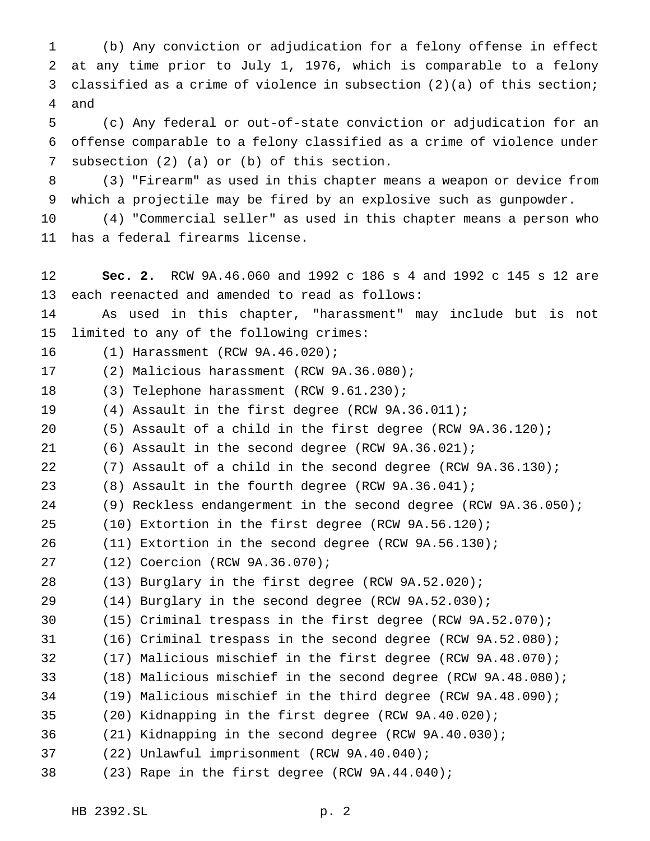(b) Any conviction or adjudication for a felony offense in effect at any time prior to July 1, 1976, which is comparable to a felony classified as a crime of violence in subsection (2)(a) of this section; and

 (c) Any federal or out-of-state conviction or adjudication for an offense comparable to a felony classified as a crime of violence under subsection (2) (a) or (b) of this section.

 (3) "Firearm" as used in this chapter means a weapon or device from which a projectile may be fired by an explosive such as gunpowder.

 (4) "Commercial seller" as used in this chapter means a person who has a federal firearms license.

 **Sec. 2.** RCW 9A.46.060 and 1992 c 186 s 4 and 1992 c 145 s 12 are each reenacted and amended to read as follows: As used in this chapter, "harassment" may include but is not limited to any of the following crimes: (1) Harassment (RCW 9A.46.020); (2) Malicious harassment (RCW 9A.36.080); (3) Telephone harassment (RCW 9.61.230); (4) Assault in the first degree (RCW 9A.36.011); (5) Assault of a child in the first degree (RCW 9A.36.120); (6) Assault in the second degree (RCW 9A.36.021); (7) Assault of a child in the second degree (RCW 9A.36.130); (8) Assault in the fourth degree (RCW 9A.36.041); (9) Reckless endangerment in the second degree (RCW 9A.36.050); (10) Extortion in the first degree (RCW 9A.56.120); (11) Extortion in the second degree (RCW 9A.56.130); (12) Coercion (RCW 9A.36.070); (13) Burglary in the first degree (RCW 9A.52.020); (14) Burglary in the second degree (RCW 9A.52.030); (15) Criminal trespass in the first degree (RCW 9A.52.070); (16) Criminal trespass in the second degree (RCW 9A.52.080); (17) Malicious mischief in the first degree (RCW 9A.48.070); (18) Malicious mischief in the second degree (RCW 9A.48.080); (19) Malicious mischief in the third degree (RCW 9A.48.090); (20) Kidnapping in the first degree (RCW 9A.40.020); (21) Kidnapping in the second degree (RCW 9A.40.030); (22) Unlawful imprisonment (RCW 9A.40.040); (23) Rape in the first degree (RCW 9A.44.040);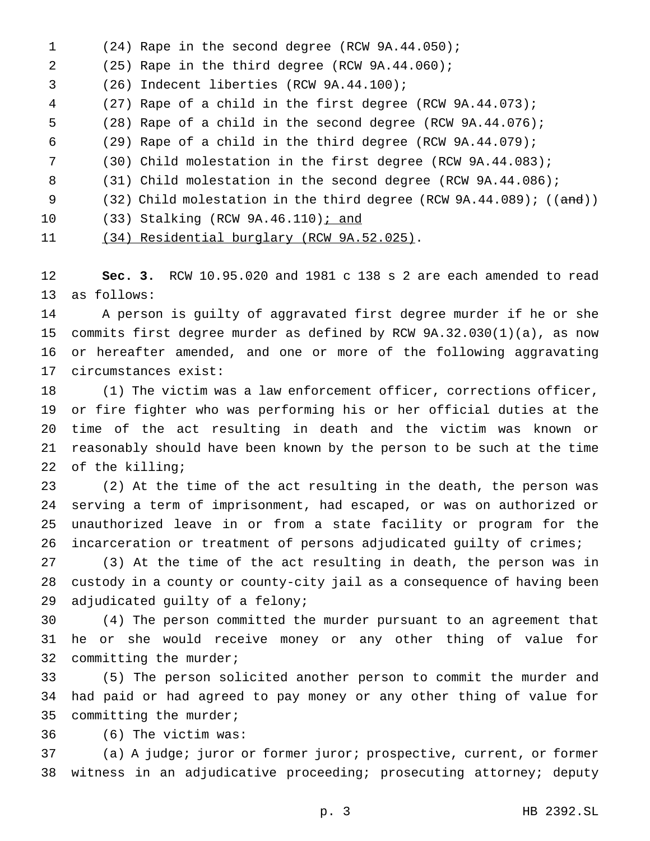(24) Rape in the second degree (RCW 9A.44.050); (25) Rape in the third degree (RCW 9A.44.060); (26) Indecent liberties (RCW 9A.44.100); (27) Rape of a child in the first degree (RCW 9A.44.073); (28) Rape of a child in the second degree (RCW 9A.44.076); (29) Rape of a child in the third degree (RCW 9A.44.079); (30) Child molestation in the first degree (RCW 9A.44.083); 8 (31) Child molestation in the second degree (RCW 9A.44.086); 9 (32) Child molestation in the third degree (RCW 9A.44.089); ((and)) 10 (33) Stalking (RCW 9A.46.110); and (34) Residential burglary (RCW 9A.52.025).

 **Sec. 3.** RCW 10.95.020 and 1981 c 138 s 2 are each amended to read as follows:

 A person is guilty of aggravated first degree murder if he or she commits first degree murder as defined by RCW 9A.32.030(1)(a), as now or hereafter amended, and one or more of the following aggravating circumstances exist:

 (1) The victim was a law enforcement officer, corrections officer, or fire fighter who was performing his or her official duties at the time of the act resulting in death and the victim was known or reasonably should have been known by the person to be such at the time of the killing;

 (2) At the time of the act resulting in the death, the person was serving a term of imprisonment, had escaped, or was on authorized or unauthorized leave in or from a state facility or program for the incarceration or treatment of persons adjudicated guilty of crimes;

 (3) At the time of the act resulting in death, the person was in custody in a county or county-city jail as a consequence of having been adjudicated guilty of a felony;

 (4) The person committed the murder pursuant to an agreement that he or she would receive money or any other thing of value for committing the murder;

 (5) The person solicited another person to commit the murder and had paid or had agreed to pay money or any other thing of value for committing the murder;

(6) The victim was:

 (a) A judge; juror or former juror; prospective, current, or former witness in an adjudicative proceeding; prosecuting attorney; deputy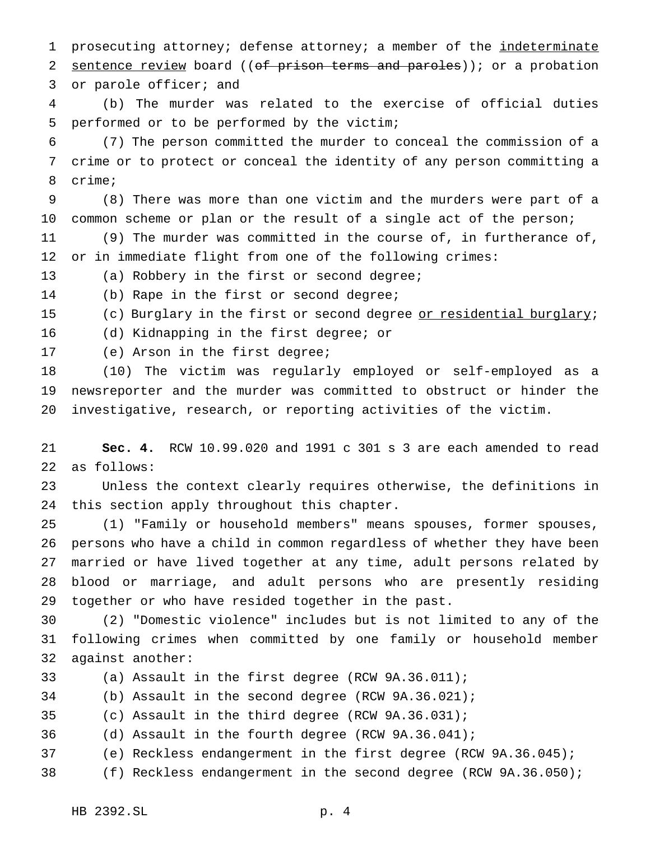1 prosecuting attorney; defense attorney; a member of the indeterminate 2 sentence review board ((of prison terms and paroles)); or a probation or parole officer; and

 (b) The murder was related to the exercise of official duties performed or to be performed by the victim;

 (7) The person committed the murder to conceal the commission of a crime or to protect or conceal the identity of any person committing a crime;

 (8) There was more than one victim and the murders were part of a common scheme or plan or the result of a single act of the person; (9) The murder was committed in the course of, in furtherance of,

or in immediate flight from one of the following crimes:

(a) Robbery in the first or second degree;

(b) Rape in the first or second degree;

15 (c) Burglary in the first or second degree or residential burglary;

(d) Kidnapping in the first degree; or

(e) Arson in the first degree;

 (10) The victim was regularly employed or self-employed as a newsreporter and the murder was committed to obstruct or hinder the investigative, research, or reporting activities of the victim.

 **Sec. 4.** RCW 10.99.020 and 1991 c 301 s 3 are each amended to read as follows:

 Unless the context clearly requires otherwise, the definitions in this section apply throughout this chapter.

 (1) "Family or household members" means spouses, former spouses, persons who have a child in common regardless of whether they have been married or have lived together at any time, adult persons related by blood or marriage, and adult persons who are presently residing together or who have resided together in the past.

 (2) "Domestic violence" includes but is not limited to any of the following crimes when committed by one family or household member against another:

(a) Assault in the first degree (RCW 9A.36.011);

(b) Assault in the second degree (RCW 9A.36.021);

(c) Assault in the third degree (RCW 9A.36.031);

- (d) Assault in the fourth degree (RCW 9A.36.041);
- (e) Reckless endangerment in the first degree (RCW 9A.36.045);
- (f) Reckless endangerment in the second degree (RCW 9A.36.050);